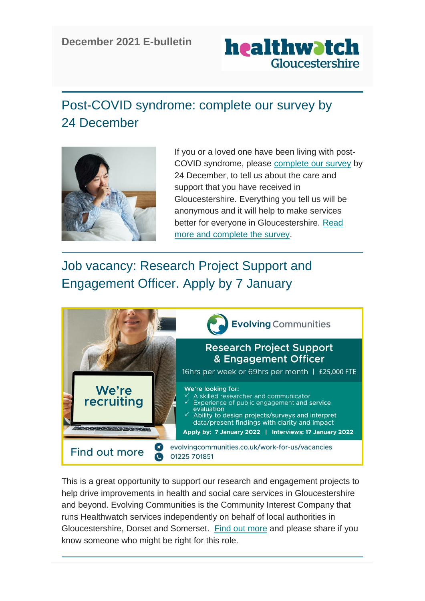#### **December 2021 E-bulletin**



# Post-COVID syndrome: complete our survey by 24 December



If you or a loved one have been living with post-COVID syndrome, please [complete our survey](https://healthwatchgloucestershire.us3.list-manage.com/track/click?u=381cee1830e9e27f34f9e64ab&id=80d72e9bbc&e=5a7d9dae3a) by 24 December, to tell us about the care and support that you have received in Gloucestershire. Everything you tell us will be anonymous and it will help to make services better for everyone in Gloucestershire. [Read](https://healthwatchgloucestershire.us3.list-manage.com/track/click?u=381cee1830e9e27f34f9e64ab&id=34d69863fb&e=5a7d9dae3a) [more and complete the survey.](https://healthwatchgloucestershire.us3.list-manage.com/track/click?u=381cee1830e9e27f34f9e64ab&id=34d69863fb&e=5a7d9dae3a)

# Job vacancy: Research Project Support and Engagement Officer. Apply by 7 January



This is a great opportunity to support our research and engagement projects to help drive improvements in health and social care services in Gloucestershire and beyond. Evolving Communities is the Community Interest Company that runs Healthwatch services independently on behalf of local authorities in Gloucestershire, Dorset and Somerset. [Find out more](https://healthwatchgloucestershire.us3.list-manage.com/track/click?u=381cee1830e9e27f34f9e64ab&id=c963e70fb0&e=5a7d9dae3a) and please share if you know someone who might be right for this role.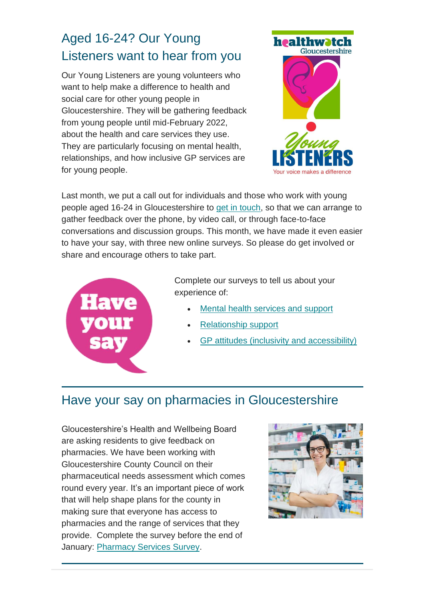# Aged 16-24? Our Young Listeners want to hear from you

Our Young Listeners are young volunteers who want to help make a difference to health and social care for other young people in Gloucestershire. They will be gathering feedback from young people until mid-February 2022, about the health and care services they use. They are particularly focusing on mental health, relationships, and how inclusive GP services are for young people.



Last month, we put a call out for individuals and those who work with young people aged 16-24 in Gloucestershire to [get in touch,](https://healthwatchgloucestershire.us3.list-manage.com/track/click?u=381cee1830e9e27f34f9e64ab&id=9cad1cfba7&e=5a7d9dae3a) so that we can arrange to gather feedback over the phone, by video call, or through face-to-face conversations and discussion groups. This month, we have made it even easier to have your say, with three new online surveys. So please do get involved or share and encourage others to take part.



Complete our surveys to tell us about your experience of:

- [Mental health services and support](https://healthwatchgloucestershire.us3.list-manage.com/track/click?u=381cee1830e9e27f34f9e64ab&id=75d4f6bc0a&e=5a7d9dae3a)
- [Relationship support](https://healthwatchgloucestershire.us3.list-manage.com/track/click?u=381cee1830e9e27f34f9e64ab&id=89df4d4c92&e=5a7d9dae3a)
- [GP attitudes \(inclusivity and accessibility\)](https://healthwatchgloucestershire.us3.list-manage.com/track/click?u=381cee1830e9e27f34f9e64ab&id=2e8fc308eb&e=5a7d9dae3a)

#### Have your say on pharmacies in Gloucestershire

Gloucestershire's Health and Wellbeing Board are asking residents to give feedback on pharmacies. We have been working with Gloucestershire County Council on their pharmaceutical needs assessment which comes round every year. It's an important piece of work that will help shape plans for the county in making sure that everyone has access to pharmacies and the range of services that they provide. Complete the survey before the end of January: [Pharmacy Services Survey.](https://healthwatchgloucestershire.us3.list-manage.com/track/click?u=381cee1830e9e27f34f9e64ab&id=ade1fb9905&e=5a7d9dae3a)

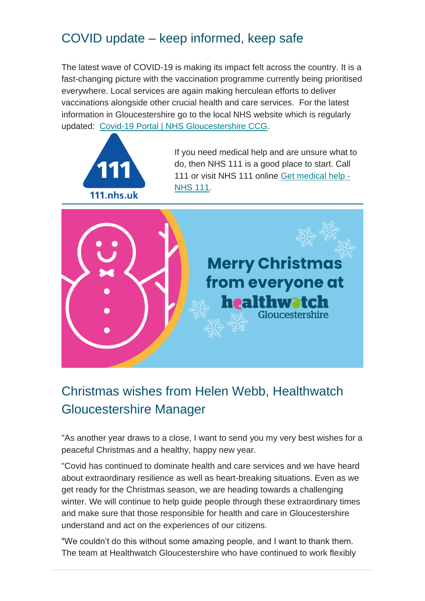### COVID update – keep informed, keep safe

The latest wave of COVID-19 is making its impact felt across the country. It is a fast-changing picture with the vaccination programme currently being prioritised everywhere. Local services are again making herculean efforts to deliver vaccinations alongside other crucial health and care services. For the latest information in Gloucestershire go to the local NHS website which is regularly updated: [Covid-19 Portal | NHS Gloucestershire CCG.](https://healthwatchgloucestershire.us3.list-manage.com/track/click?u=381cee1830e9e27f34f9e64ab&id=8dc82858f2&e=5a7d9dae3a)



If you need medical help and are unsure what to do, then NHS 111 is a good place to start. Call 111 or visit NHS 111 online [Get medical help -](https://healthwatchgloucestershire.us3.list-manage.com/track/click?u=381cee1830e9e27f34f9e64ab&id=9db2b9fe1b&e=5a7d9dae3a) [NHS 111.](https://healthwatchgloucestershire.us3.list-manage.com/track/click?u=381cee1830e9e27f34f9e64ab&id=9db2b9fe1b&e=5a7d9dae3a)



### Christmas wishes from Helen Webb, Healthwatch Gloucestershire Manager

"As another year draws to a close, I want to send you my very best wishes for a peaceful Christmas and a healthy, happy new year.

"Covid has continued to dominate health and care services and we have heard about extraordinary resilience as well as heart-breaking situations. Even as we get ready for the Christmas season, we are heading towards a challenging winter. We will continue to help guide people through these extraordinary times and make sure that those responsible for health and care in Gloucestershire understand and act on the experiences of our citizens.

"We couldn't do this without some amazing people, and I want to thank them. The team at Healthwatch Gloucestershire who have continued to work flexibly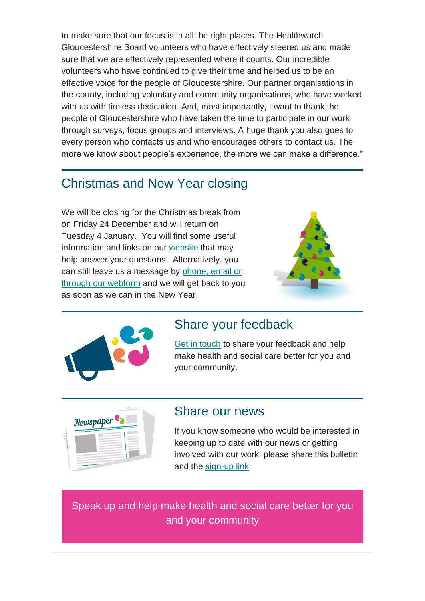to make sure that our focus is in all the right places. The Healthwatch Gloucestershire Board volunteers who have effectively steered us and made sure that we are effectively represented where it counts. Our incredible volunteers who have continued to give their time and helped us to be an effective voice for the people of Gloucestershire. Our partner organisations in the county, including voluntary and community organisations, who have worked with us with tireless dedication. And, most importantly, I want to thank the people of Gloucestershire who have taken the time to participate in our work through surveys, focus groups and interviews. A huge thank you also goes to every person who contacts us and who encourages others to contact us. The more we know about people's experience, the more we can make a difference."

#### Christmas and New Year closing

We will be closing for the Christmas break from on Friday 24 December and will return on Tuesday 4 January. You will find some useful information and links on our [website](https://healthwatchgloucestershire.us3.list-manage.com/track/click?u=381cee1830e9e27f34f9e64ab&id=e27d1c0007&e=5a7d9dae3a) that may help answer your questions. Alternatively, you can still leave us a message by [phone, email or](https://healthwatchgloucestershire.us3.list-manage.com/track/click?u=381cee1830e9e27f34f9e64ab&id=0a9bd58a12&e=5a7d9dae3a)  [through our webform](https://healthwatchgloucestershire.us3.list-manage.com/track/click?u=381cee1830e9e27f34f9e64ab&id=0a9bd58a12&e=5a7d9dae3a) and we will get back to you as soon as we can in the New Year.





#### Share your feedback

[Get in touch](https://healthwatchgloucestershire.us3.list-manage.com/track/click?u=381cee1830e9e27f34f9e64ab&id=adb287bdc5&e=5a7d9dae3a) to share your feedback and help make health and social care better for you and your community.



#### Share our news

If you know someone who would be interested in keeping up to date with our news or getting involved with our work, please share this bulletin and the [sign-up link.](https://healthwatchgloucestershire.us3.list-manage.com/track/click?u=381cee1830e9e27f34f9e64ab&id=74c538927c&e=5a7d9dae3a)

Speak up and help make health and social care better for you and your community